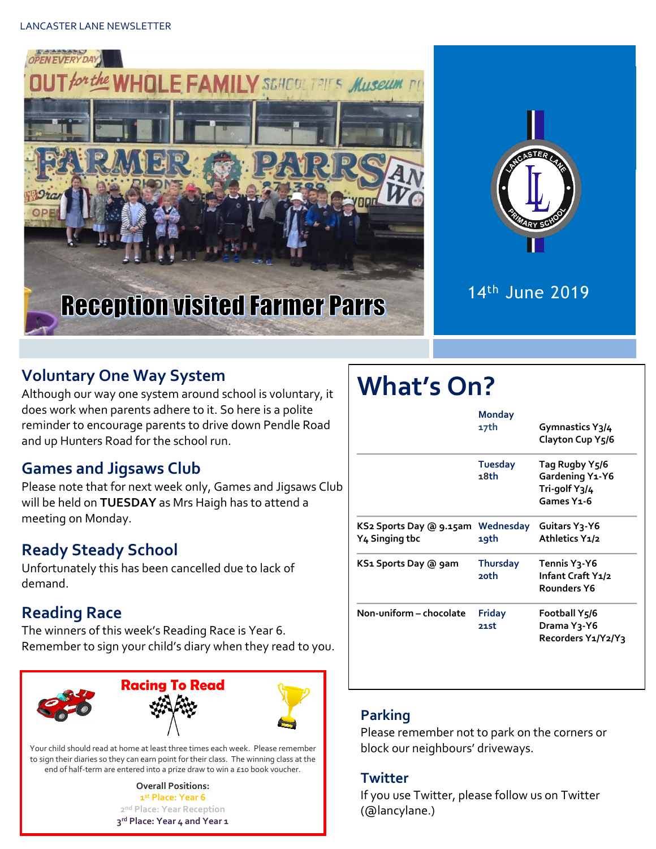



## 14th June 2019

### **Voluntary One Way System**

Although our way one system around school is voluntary, it does work when parents adhere to it. So here is a polite reminder to encourage parents to drive down Pendle Road and up Hunters Road for the school run.

#### **Games and Jigsaws Club**

Please note that for next week only, Games and Jigsaws Club will be held on **TUESDAY** as Mrs Haigh has to attend a meeting on Monday.

#### **Ready Steady School**

Unfortunately this has been cancelled due to lack of demand.

#### **Reading Race**

The winners of this week's Reading Race is Year 6. Remember to sign your child's diary when they read to you.



Your child should read at home at least three times each week. Please remember to sign their diaries so they can earn point for their class. The winning class at the end of half-term are entered into a prize draw to win a £10 book voucher.

> **Overall Positions: st Place: Year 6 nd Place: Year Reception rd Place: Year 4 and Year 1**

# **What's On?**

|                                           | Monday<br>17th          | Gymnastics Y3/4<br>Clayton Cup Y5/6                                          |
|-------------------------------------------|-------------------------|------------------------------------------------------------------------------|
|                                           | <b>Tuesday</b><br>18th  | Tag Rugby Y5/6<br>Gardening Y1-Y6<br>Tri-golf Y3/4<br>Games Y <sub>1-6</sub> |
| KS2 Sports Day @ 9.15am<br>Y4 Singing tbc | Wednesday<br>19th       | Guitars Y3-Y6<br>Athletics Y1/2                                              |
| KS1 Sports Day @ 9am                      | <b>Thursday</b><br>20th | Tennis Y3-Y6<br>Infant Craft Y1/2<br>Rounders Y6                             |
| Non-uniform - chocolate                   | Friday<br>21st          | Football Y5/6<br>Drama Y3-Y6<br>Recorders Y1/Y2/Y3                           |

#### **Parking**

Please remember not to park on the corners or block our neighbours' driveways.

#### **Twitter**

If you use Twitter, please follow us on Twitter (@lancylane.)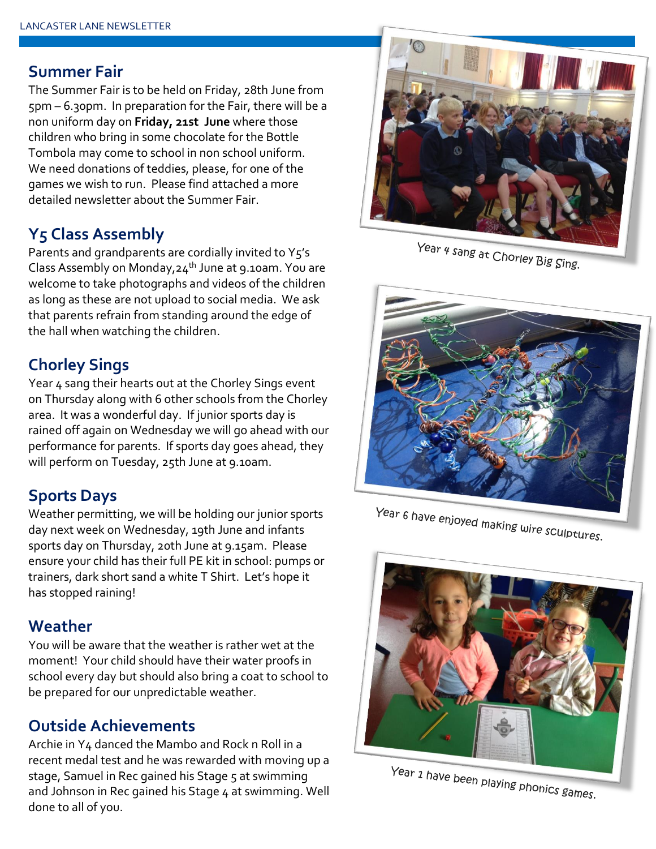#### **Summer Fair**

The Summer Fair is to be held on Friday, 28th June from 5pm – 6.30pm. In preparation for the Fair, there will be a non uniform day on **Friday, 21st June** where those children who bring in some chocolate for the Bottle Tombola may come to school in non school uniform. We need donations of teddies, please, for one of the games we wish to run. Please find attached a more detailed newsletter about the Summer Fair.

#### **Y5 Class Assembly**

Parents and grandparents are cordially invited to Y5's Class Assembly on Monday, 24<sup>th</sup> June at 9.10am. You are welcome to take photographs and videos of the children as long as these are not upload to social media. We ask that parents refrain from standing around the edge of the hall when watching the children.

#### **Chorley Sings**

Year 4 sang their hearts out at the Chorley Sings event on Thursday along with 6 other schools from the Chorley area. It was a wonderful day. If junior sports day is rained off again on Wednesday we will go ahead with our performance for parents. If sports day goes ahead, they will perform on Tuesday, 25th June at 9.10am.

#### **Sports Days**

Weather permitting, we will be holding our junior sports day next week on Wednesday, 19th June and infants sports day on Thursday, 20th June at 9.15am. Please ensure your child has their full PE kit in school: pumps or trainers, dark short sand a white T Shirt. Let's hope it has stopped raining!

#### **Weather**

You will be aware that the weather is rather wet at the moment! Your child should have their water proofs in school every day but should also bring a coat to school to be prepared for our unpredictable weather.

#### **Outside Achievements**

Archie in Y4 danced the Mambo and Rock n Roll in a recent medal test and he was rewarded with moving up a stage, Samuel in Rec gained his Stage 5 at swimming and Johnson in Rec gained his Stage 4 at swimming. Well done to all of you.



Year 4 sang at Chorley Big Sing.



Year 6 have enjoyed making wire sculptures.



Year 1 have been playing phonics games.